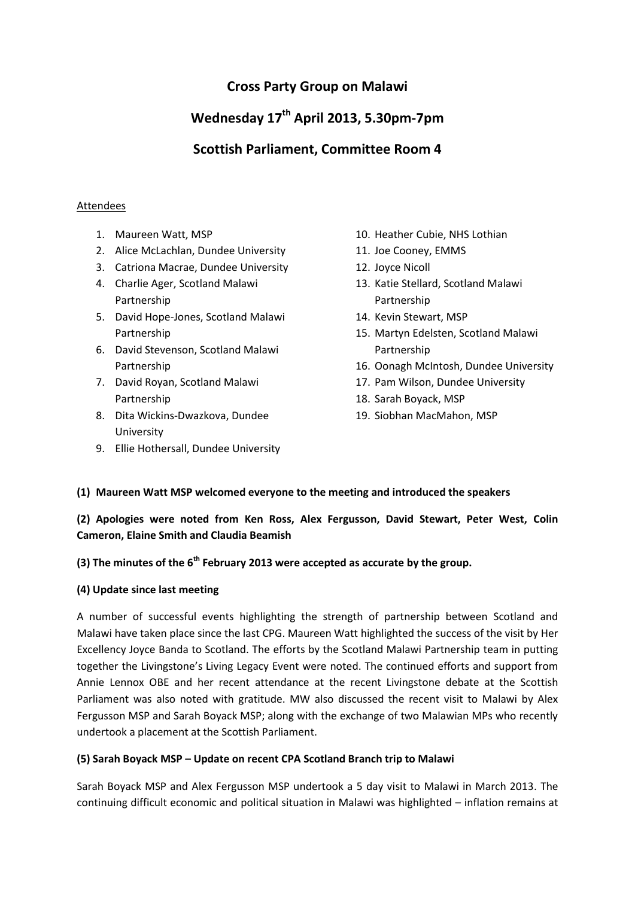## **Cross Party Group on Malawi**

# **Wednesday 17th April 2013, 5.30pm-7pm**

## **Scottish Parliament, Committee Room 4**

#### Attendees

- 1. Maureen Watt, MSP
- 2. Alice McLachlan, Dundee University
- 3. Catriona Macrae, Dundee University
- 4. Charlie Ager, Scotland Malawi Partnership
- 5. David Hope-Jones, Scotland Malawi Partnership
- 6. David Stevenson, Scotland Malawi Partnership
- 7. David Royan, Scotland Malawi Partnership
- 8. Dita Wickins-Dwazkova, Dundee University
- 9. Ellie Hothersall, Dundee University
- 10. Heather Cubie, NHS Lothian
- 11. Joe Cooney, EMMS
- 12. Joyce Nicoll
- 13. Katie Stellard, Scotland Malawi Partnership
- 14. Kevin Stewart, MSP
- 15. Martyn Edelsten, Scotland Malawi Partnership
- 16. Oonagh McIntosh, Dundee University
- 17. Pam Wilson, Dundee University
- 18. Sarah Boyack, MSP
- 19. Siobhan MacMahon, MSP

#### **(1) Maureen Watt MSP welcomed everyone to the meeting and introduced the speakers**

**(2) Apologies were noted from Ken Ross, Alex Fergusson, David Stewart, Peter West, Colin Cameron, Elaine Smith and Claudia Beamish**

### **(3) The minutes of the 6th February 2013 were accepted as accurate by the group.**

#### **(4) Update since last meeting**

A number of successful events highlighting the strength of partnership between Scotland and Malawi have taken place since the last CPG. Maureen Watt highlighted the success of the visit by Her Excellency Joyce Banda to Scotland. The efforts by the Scotland Malawi Partnership team in putting together the Livingstone's Living Legacy Event were noted. The continued efforts and support from Annie Lennox OBE and her recent attendance at the recent Livingstone debate at the Scottish Parliament was also noted with gratitude. MW also discussed the recent visit to Malawi by Alex Fergusson MSP and Sarah Boyack MSP; along with the exchange of two Malawian MPs who recently undertook a placement at the Scottish Parliament.

#### **(5) Sarah Boyack MSP – Update on recent CPA Scotland Branch trip to Malawi**

Sarah Boyack MSP and Alex Fergusson MSP undertook a 5 day visit to Malawi in March 2013. The continuing difficult economic and political situation in Malawi was highlighted – inflation remains at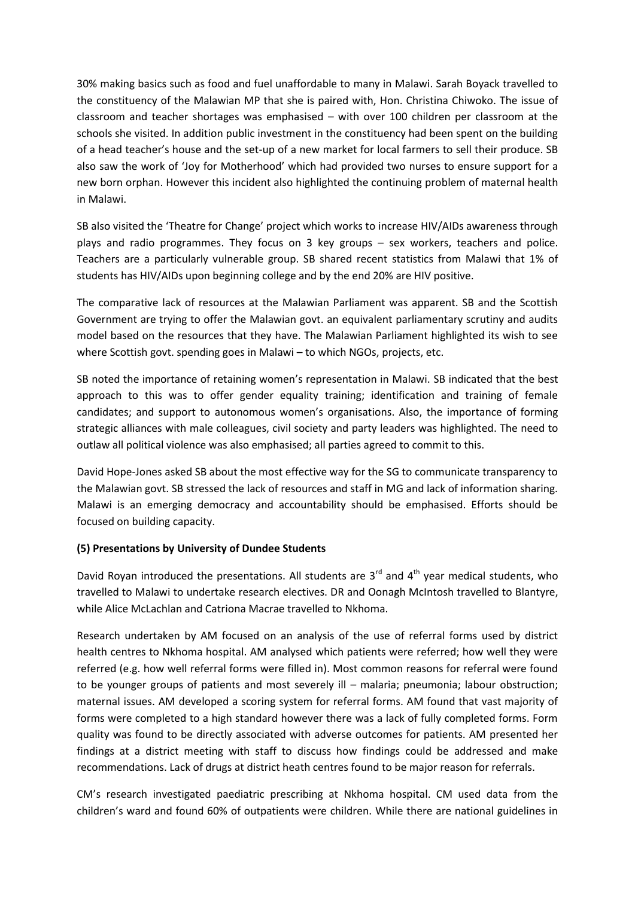30% making basics such as food and fuel unaffordable to many in Malawi. Sarah Boyack travelled to the constituency of the Malawian MP that she is paired with, Hon. Christina Chiwoko. The issue of classroom and teacher shortages was emphasised – with over 100 children per classroom at the schools she visited. In addition public investment in the constituency had been spent on the building of a head teacher's house and the set-up of a new market for local farmers to sell their produce. SB also saw the work of 'Joy for Motherhood' which had provided two nurses to ensure support for a new born orphan. However this incident also highlighted the continuing problem of maternal health in Malawi.

SB also visited the 'Theatre for Change' project which works to increase HIV/AIDs awareness through plays and radio programmes. They focus on 3 key groups – sex workers, teachers and police. Teachers are a particularly vulnerable group. SB shared recent statistics from Malawi that 1% of students has HIV/AIDs upon beginning college and by the end 20% are HIV positive.

The comparative lack of resources at the Malawian Parliament was apparent. SB and the Scottish Government are trying to offer the Malawian govt. an equivalent parliamentary scrutiny and audits model based on the resources that they have. The Malawian Parliament highlighted its wish to see where Scottish govt. spending goes in Malawi – to which NGOs, projects, etc.

SB noted the importance of retaining women's representation in Malawi. SB indicated that the best approach to this was to offer gender equality training; identification and training of female candidates; and support to autonomous women's organisations. Also, the importance of forming strategic alliances with male colleagues, civil society and party leaders was highlighted. The need to outlaw all political violence was also emphasised; all parties agreed to commit to this.

David Hope-Jones asked SB about the most effective way for the SG to communicate transparency to the Malawian govt. SB stressed the lack of resources and staff in MG and lack of information sharing. Malawi is an emerging democracy and accountability should be emphasised. Efforts should be focused on building capacity.

#### **(5) Presentations by University of Dundee Students**

David Royan introduced the presentations. All students are  $3<sup>rd</sup>$  and  $4<sup>th</sup>$  year medical students, who travelled to Malawi to undertake research electives. DR and Oonagh McIntosh travelled to Blantyre, while Alice McLachlan and Catriona Macrae travelled to Nkhoma.

Research undertaken by AM focused on an analysis of the use of referral forms used by district health centres to Nkhoma hospital. AM analysed which patients were referred; how well they were referred (e.g. how well referral forms were filled in). Most common reasons for referral were found to be younger groups of patients and most severely ill – malaria; pneumonia; labour obstruction; maternal issues. AM developed a scoring system for referral forms. AM found that vast majority of forms were completed to a high standard however there was a lack of fully completed forms. Form quality was found to be directly associated with adverse outcomes for patients. AM presented her findings at a district meeting with staff to discuss how findings could be addressed and make recommendations. Lack of drugs at district heath centres found to be major reason for referrals.

CM's research investigated paediatric prescribing at Nkhoma hospital. CM used data from the children's ward and found 60% of outpatients were children. While there are national guidelines in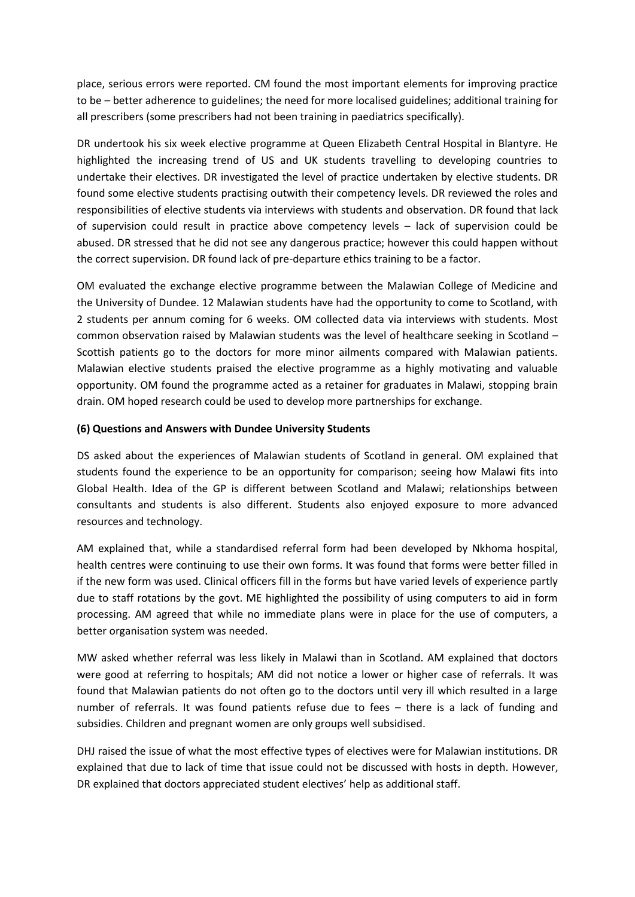place, serious errors were reported. CM found the most important elements for improving practice to be – better adherence to guidelines; the need for more localised guidelines; additional training for all prescribers (some prescribers had not been training in paediatrics specifically).

DR undertook his six week elective programme at Queen Elizabeth Central Hospital in Blantyre. He highlighted the increasing trend of US and UK students travelling to developing countries to undertake their electives. DR investigated the level of practice undertaken by elective students. DR found some elective students practising outwith their competency levels. DR reviewed the roles and responsibilities of elective students via interviews with students and observation. DR found that lack of supervision could result in practice above competency levels – lack of supervision could be abused. DR stressed that he did not see any dangerous practice; however this could happen without the correct supervision. DR found lack of pre-departure ethics training to be a factor.

OM evaluated the exchange elective programme between the Malawian College of Medicine and the University of Dundee. 12 Malawian students have had the opportunity to come to Scotland, with 2 students per annum coming for 6 weeks. OM collected data via interviews with students. Most common observation raised by Malawian students was the level of healthcare seeking in Scotland – Scottish patients go to the doctors for more minor ailments compared with Malawian patients. Malawian elective students praised the elective programme as a highly motivating and valuable opportunity. OM found the programme acted as a retainer for graduates in Malawi, stopping brain drain. OM hoped research could be used to develop more partnerships for exchange.

#### **(6) Questions and Answers with Dundee University Students**

DS asked about the experiences of Malawian students of Scotland in general. OM explained that students found the experience to be an opportunity for comparison; seeing how Malawi fits into Global Health. Idea of the GP is different between Scotland and Malawi; relationships between consultants and students is also different. Students also enjoyed exposure to more advanced resources and technology.

AM explained that, while a standardised referral form had been developed by Nkhoma hospital, health centres were continuing to use their own forms. It was found that forms were better filled in if the new form was used. Clinical officers fill in the forms but have varied levels of experience partly due to staff rotations by the govt. ME highlighted the possibility of using computers to aid in form processing. AM agreed that while no immediate plans were in place for the use of computers, a better organisation system was needed.

MW asked whether referral was less likely in Malawi than in Scotland. AM explained that doctors were good at referring to hospitals; AM did not notice a lower or higher case of referrals. It was found that Malawian patients do not often go to the doctors until very ill which resulted in a large number of referrals. It was found patients refuse due to fees – there is a lack of funding and subsidies. Children and pregnant women are only groups well subsidised.

DHJ raised the issue of what the most effective types of electives were for Malawian institutions. DR explained that due to lack of time that issue could not be discussed with hosts in depth. However, DR explained that doctors appreciated student electives' help as additional staff.